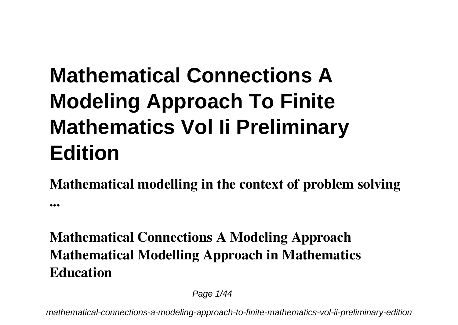# **Mathematical Connections A Modeling Approach To Finite Mathematics Vol Ii Preliminary Edition**

**Mathematical modelling in the context of problem solving ...**

#### **Mathematical Connections A Modeling Approach Mathematical Modelling Approach in Mathematics Education**

Page 1/44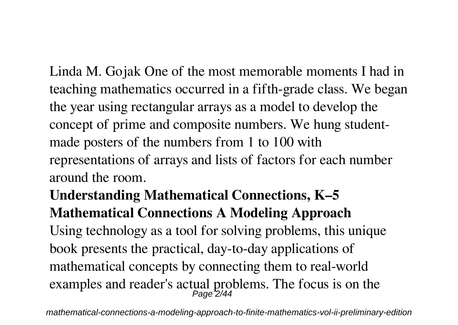Linda M. Gojak One of the most memorable moments I had in teaching mathematics occurred in a fifth-grade class. We began the year using rectangular arrays as a model to develop the concept of prime and composite numbers. We hung studentmade posters of the numbers from 1 to 100 with representations of arrays and lists of factors for each number around the room.

#### **Understanding Mathematical Connections, K–5 Mathematical Connections A Modeling Approach**

Using technology as a tool for solving problems, this unique book presents the practical, day-to-day applications of mathematical concepts by connecting them to real-world examples and reader's actual problems. The focus is on the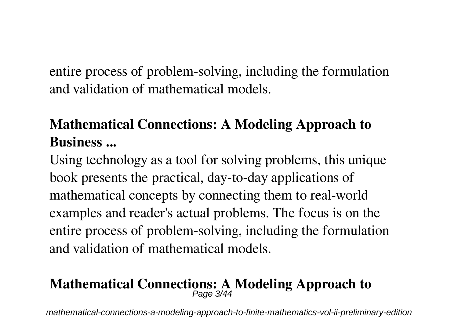entire process of problem-solving, including the formulation and validation of mathematical models.

#### **Mathematical Connections: A Modeling Approach to Business ...**

Using technology as a tool for solving problems, this unique book presents the practical, day-to-day applications of mathematical concepts by connecting them to real-world examples and reader's actual problems. The focus is on the entire process of problem-solving, including the formulation and validation of mathematical models.

# **Mathematical Connections: A Modeling Approach to** Page 3/44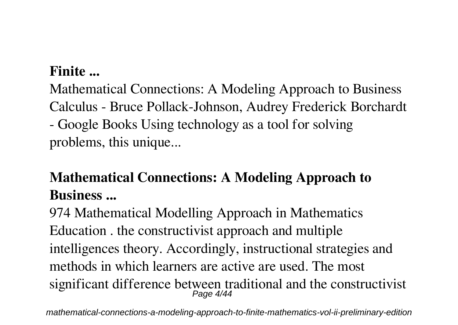#### **Finite ...**

Mathematical Connections: A Modeling Approach to Business Calculus - Bruce Pollack-Johnson, Audrey Frederick Borchardt - Google Books Using technology as a tool for solving problems, this unique...

#### **Mathematical Connections: A Modeling Approach to Business ...**

974 Mathematical Modelling Approach in Mathematics Education . the constructivist approach and multiple intelligences theory. Accordingly, instructional strategies and methods in which learners are active are used. The most significant difference between traditional and the constructivist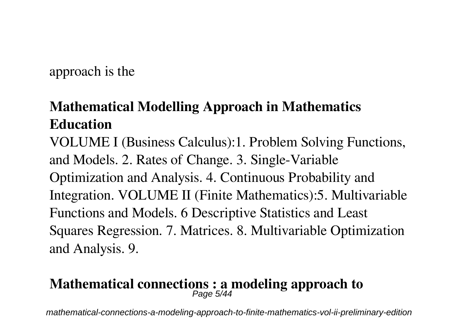approach is the

#### **Mathematical Modelling Approach in Mathematics Education**

VOLUME I (Business Calculus):1. Problem Solving Functions, and Models. 2. Rates of Change. 3. Single-Variable Optimization and Analysis. 4. Continuous Probability and Integration. VOLUME II (Finite Mathematics):5. Multivariable Functions and Models. 6 Descriptive Statistics and Least Squares Regression. 7. Matrices. 8. Multivariable Optimization and Analysis. 9.

# **Mathematical connections : a modeling approach to** Page 5/44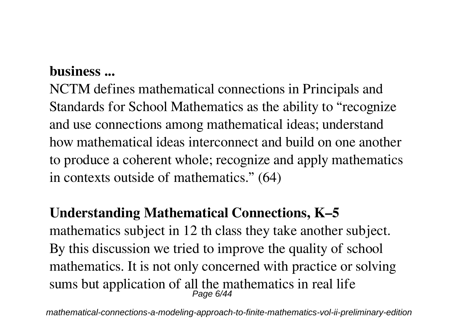#### **business ...**

NCTM defines mathematical connections in Principals and Standards for School Mathematics as the ability to "recognize and use connections among mathematical ideas; understand how mathematical ideas interconnect and build on one another to produce a coherent whole; recognize and apply mathematics in contexts outside of mathematics." (64)

#### **Understanding Mathematical Connections, K–5**

mathematics subject in 12 th class they take another subject. By this discussion we tried to improve the quality of school mathematics. It is not only concerned with practice or solving sums but application of all the mathematics in real life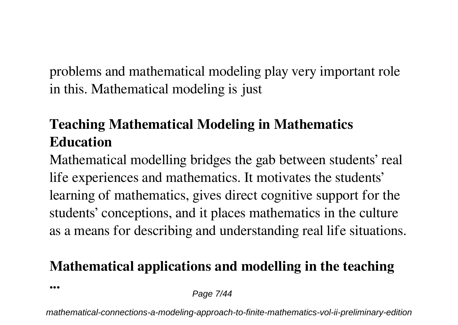problems and mathematical modeling play very important role in this. Mathematical modeling is just

#### **Teaching Mathematical Modeling in Mathematics Education**

Mathematical modelling bridges the gab between students' real life experiences and mathematics. It motivates the students' learning of mathematics, gives direct cognitive support for the students' conceptions, and it places mathematics in the culture as a means for describing and understanding real life situations.

#### **Mathematical applications and modelling in the teaching**

**...**

Page 7/44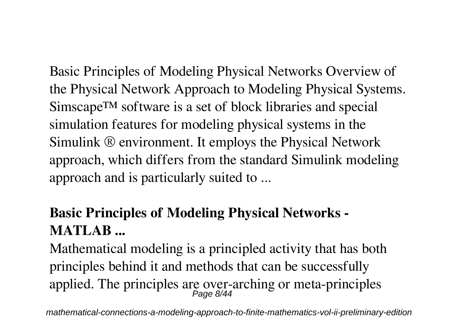Basic Principles of Modeling Physical Networks Overview of the Physical Network Approach to Modeling Physical Systems. Simscape™ software is a set of block libraries and special simulation features for modeling physical systems in the Simulink ® environment. It employs the Physical Network approach, which differs from the standard Simulink modeling approach and is particularly suited to ...

#### **Basic Principles of Modeling Physical Networks - MATLAB ...**

Mathematical modeling is a principled activity that has both principles behind it and methods that can be successfully applied. The principles are over-arching or meta-principles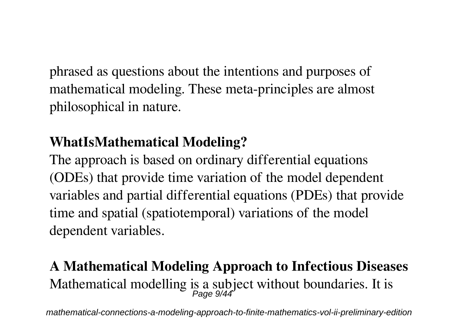phrased as questions about the intentions and purposes of mathematical modeling. These meta-principles are almost philosophical in nature.

#### **WhatIsMathematical Modeling?**

The approach is based on ordinary differential equations (ODEs) that provide time variation of the model dependent variables and partial differential equations (PDEs) that provide time and spatial (spatiotemporal) variations of the model dependent variables.

# **A Mathematical Modeling Approach to Infectious Diseases** Mathematical modelling is a subject without boundaries. It is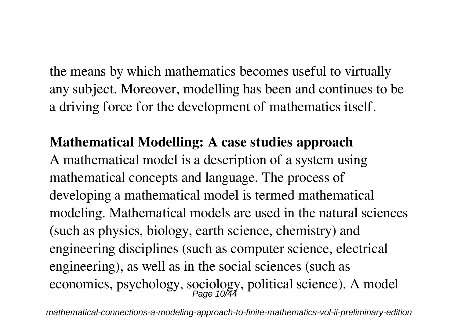the means by which mathematics becomes useful to virtually any subject. Moreover, modelling has been and continues to be a driving force for the development of mathematics itself.

#### **Mathematical Modelling: A case studies approach**

A mathematical model is a description of a system using mathematical concepts and language. The process of developing a mathematical model is termed mathematical modeling. Mathematical models are used in the natural sciences (such as physics, biology, earth science, chemistry) and engineering disciplines (such as computer science, electrical engineering), as well as in the social sciences (such as economics, psychology, sociology, political science). A model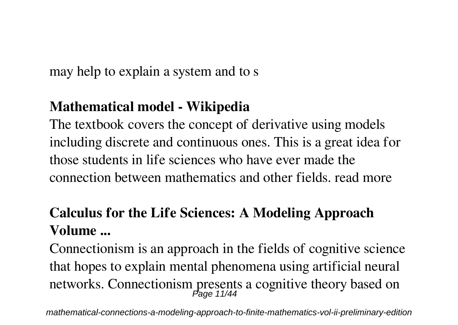may help to explain a system and to s

#### **Mathematical model - Wikipedia**

The textbook covers the concept of derivative using models including discrete and continuous ones. This is a great idea for those students in life sciences who have ever made the connection between mathematics and other fields. read more

#### **Calculus for the Life Sciences: A Modeling Approach Volume ...**

Connectionism is an approach in the fields of cognitive science that hopes to explain mental phenomena using artificial neural networks. Connectionism presents a cognitive theory based on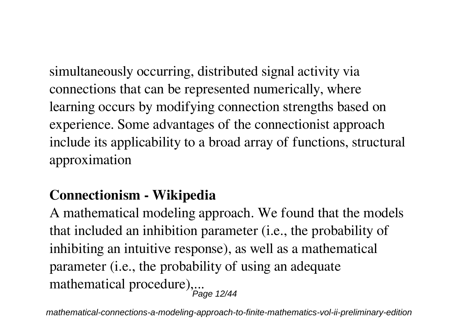simultaneously occurring, distributed signal activity via connections that can be represented numerically, where learning occurs by modifying connection strengths based on experience. Some advantages of the connectionist approach include its applicability to a broad array of functions, structural approximation

#### **Connectionism - Wikipedia**

A mathematical modeling approach. We found that the models that included an inhibition parameter (i.e., the probability of inhibiting an intuitive response), as well as a mathematical parameter (i.e., the probability of using an adequate mathematical procedure),... Page 12/44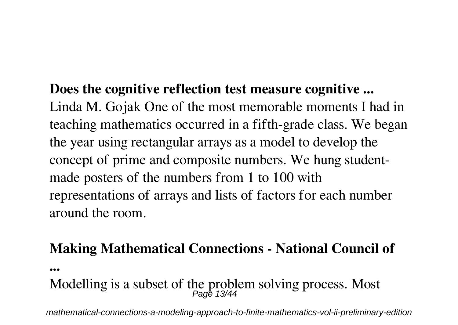#### **Does the cognitive reflection test measure cognitive ...**

Linda M. Gojak One of the most memorable moments I had in teaching mathematics occurred in a fifth-grade class. We began the year using rectangular arrays as a model to develop the concept of prime and composite numbers. We hung studentmade posters of the numbers from 1 to 100 with representations of arrays and lists of factors for each number around the room.

#### **Making Mathematical Connections - National Council of**

**...**

# Modelling is a subset of the problem solving process. Most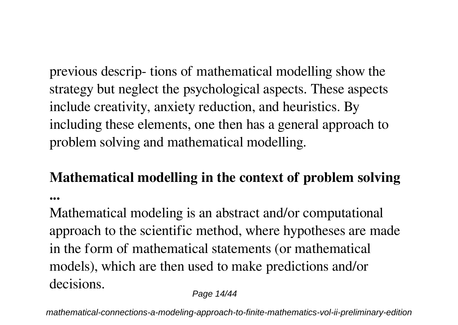previous descrip- tions of mathematical modelling show the strategy but neglect the psychological aspects. These aspects include creativity, anxiety reduction, and heuristics. By including these elements, one then has a general approach to problem solving and mathematical modelling.

## **Mathematical modelling in the context of problem solving**

**...**

Mathematical modeling is an abstract and/or computational approach to the scientific method, where hypotheses are made in the form of mathematical statements (or mathematical models), which are then used to make predictions and/or decisions.

Page 14/44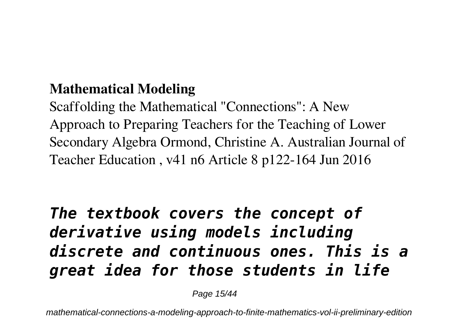#### **Mathematical Modeling**

Scaffolding the Mathematical "Connections": A New Approach to Preparing Teachers for the Teaching of Lower Secondary Algebra Ormond, Christine A. Australian Journal of Teacher Education , v41 n6 Article 8 p122-164 Jun 2016

# *The textbook covers the concept of derivative using models including discrete and continuous ones. This is a great idea for those students in life*

Page 15/44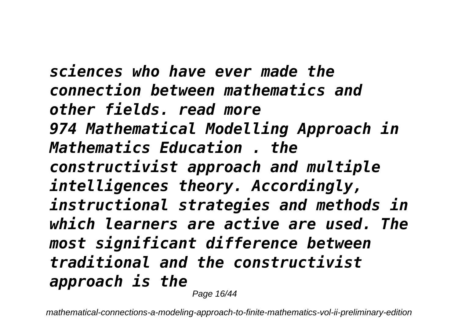*sciences who have ever made the connection between mathematics and other fields. read more 974 Mathematical Modelling Approach in Mathematics Education . the constructivist approach and multiple intelligences theory. Accordingly, instructional strategies and methods in which learners are active are used. The most significant difference between traditional and the constructivist approach is the* Page 16/44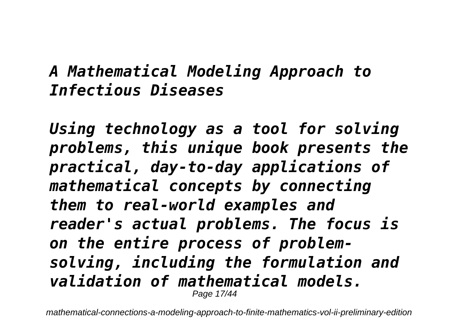# *A Mathematical Modeling Approach to Infectious Diseases*

*Using technology as a tool for solving problems, this unique book presents the practical, day-to-day applications of mathematical concepts by connecting them to real-world examples and reader's actual problems. The focus is on the entire process of problemsolving, including the formulation and validation of mathematical models.* Page 17/44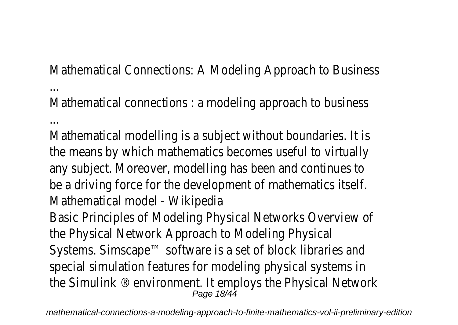Mathematical Connections: A Modeling Approach to Bust

... Mathematical connections : a modeling approach to bust

... Mathematical modelling is a subject without boundaries the means by which mathematics becomes useful to virtually any subject. Moreover, modelling has been and continue be a driving force for the development of mathematics Mathematical model - Wikipedia

Basic Principles of Modeling Physical Networks Overvie the Physical Network Approach to Modeling Physical Systems. Simscape™ software is a set of block libraries special simulation features for modeling physical system the Simulink  $\mathbb{R}$  environment. It employs the Physical Network Page 18/44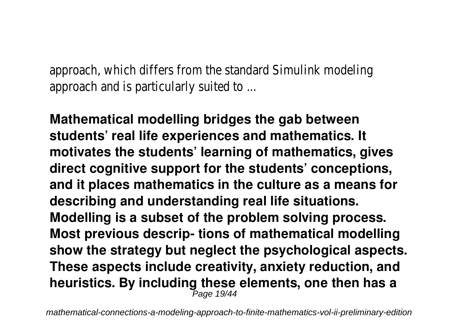approach, which differs from the standard Simulink model approach and is particularly suited to ...

**Mathematical modelling bridges the gab between students' real life experiences and mathematics. It motivates the students' learning of mathematics, gives direct cognitive support for the students' conceptions, and it places mathematics in the culture as a means for describing and understanding real life situations. Modelling is a subset of the problem solving process. Most previous descrip- tions of mathematical modelling show the strategy but neglect the psychological aspects. These aspects include creativity, anxiety reduction, and heuristics. By including these elements, one then has a** Page 19/44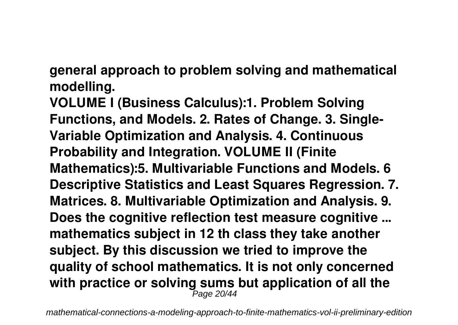**general approach to problem solving and mathematical modelling.**

**VOLUME I (Business Calculus):1. Problem Solving Functions, and Models. 2. Rates of Change. 3. Single-Variable Optimization and Analysis. 4. Continuous Probability and Integration. VOLUME II (Finite Mathematics):5. Multivariable Functions and Models. 6 Descriptive Statistics and Least Squares Regression. 7. Matrices. 8. Multivariable Optimization and Analysis. 9. Does the cognitive reflection test measure cognitive ... mathematics subject in 12 th class they take another subject. By this discussion we tried to improve the quality of school mathematics. It is not only concerned with practice or solving sums but application of all the**  $P$ age 20/44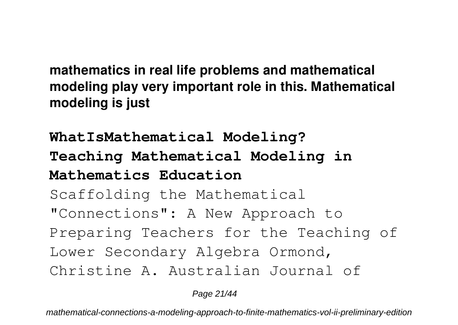**mathematics in real life problems and mathematical modeling play very important role in this. Mathematical modeling is just**

**WhatIsMathematical Modeling? Teaching Mathematical Modeling in Mathematics Education** Scaffolding the Mathematical "Connections": A New Approach to Preparing Teachers for the Teaching of Lower Secondary Algebra Ormond, Christine A. Australian Journal of

Page 21/44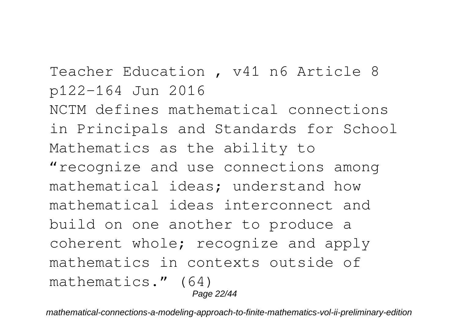Teacher Education , v41 n6 Article 8 p122-164 Jun 2016 NCTM defines mathematical connections in Principals and Standards for School Mathematics as the ability to "recognize and use connections among mathematical ideas; understand how mathematical ideas interconnect and build on one another to produce a coherent whole; recognize and apply mathematics in contexts outside of mathematics." (64)

Page 22/44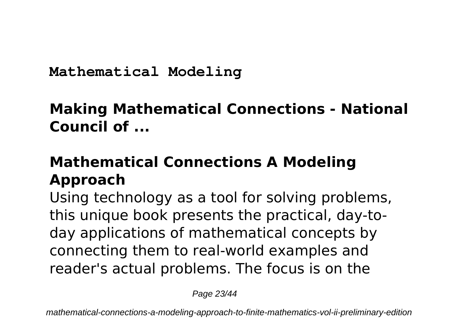**Mathematical Modeling**

## **Making Mathematical Connections - National Council of ...**

# **Mathematical Connections A Modeling Approach**

Using technology as a tool for solving problems, this unique book presents the practical, day-today applications of mathematical concepts by connecting them to real-world examples and reader's actual problems. The focus is on the

Page 23/44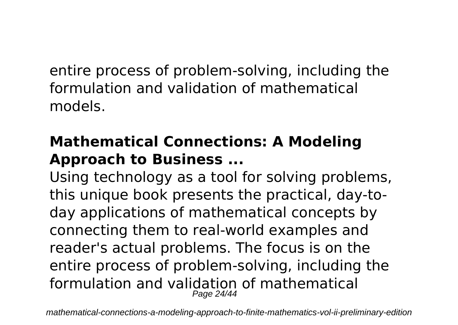entire process of problem-solving, including the formulation and validation of mathematical models.

# **Mathematical Connections: A Modeling Approach to Business ...**

Using technology as a tool for solving problems, this unique book presents the practical, day-today applications of mathematical concepts by connecting them to real-world examples and reader's actual problems. The focus is on the entire process of problem-solving, including the formulation and validation of mathematical Page 24/44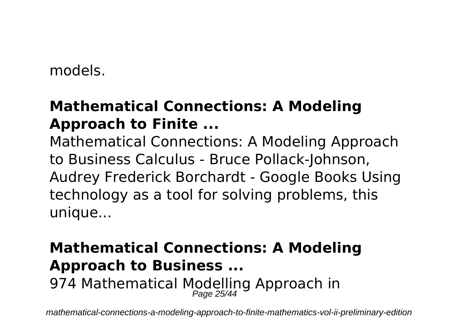models.

#### **Mathematical Connections: A Modeling Approach to Finite ...**

Mathematical Connections: A Modeling Approach to Business Calculus - Bruce Pollack-Johnson, Audrey Frederick Borchardt - Google Books Using technology as a tool for solving problems, this unique...

# **Mathematical Connections: A Modeling Approach to Business ...** 974 Mathematical Modelling Approach in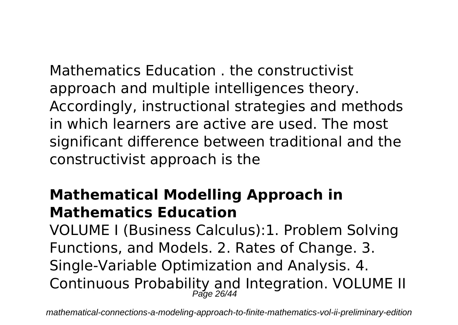Mathematics Education . the constructivist approach and multiple intelligences theory. Accordingly, instructional strategies and methods in which learners are active are used. The most significant difference between traditional and the constructivist approach is the

#### **Mathematical Modelling Approach in Mathematics Education**

VOLUME I (Business Calculus):1. Problem Solving Functions, and Models. 2. Rates of Change. 3. Single-Variable Optimization and Analysis. 4. Continuous Probability and Integration. VOLUME II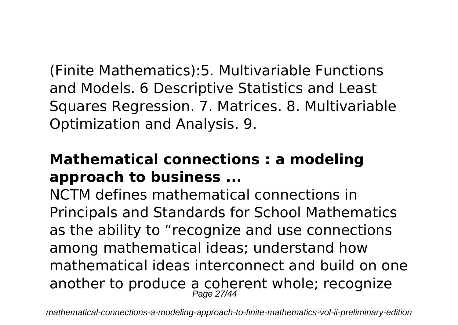(Finite Mathematics):5. Multivariable Functions and Models. 6 Descriptive Statistics and Least Squares Regression. 7. Matrices. 8. Multivariable Optimization and Analysis. 9.

#### **Mathematical connections : a modeling approach to business ...**

NCTM defines mathematical connections in Principals and Standards for School Mathematics as the ability to "recognize and use connections among mathematical ideas; understand how mathematical ideas interconnect and build on one another to produce a coherent whole; recognize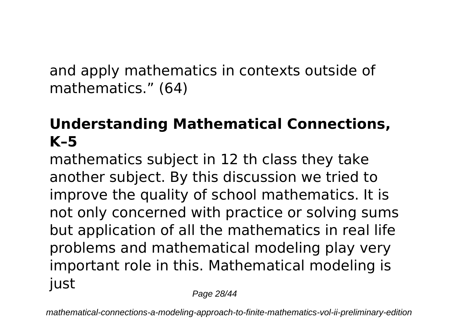and apply mathematics in contexts outside of mathematics." (64)

# **Understanding Mathematical Connections, K–5**

mathematics subject in 12 th class they take another subject. By this discussion we tried to improve the quality of school mathematics. It is not only concerned with practice or solving sums but application of all the mathematics in real life problems and mathematical modeling play very important role in this. Mathematical modeling is just

Page 28/44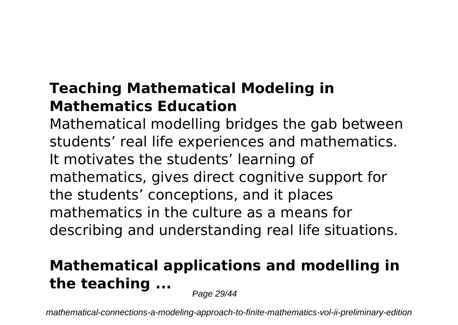# **Teaching Mathematical Modeling in Mathematics Education**

Mathematical modelling bridges the gab between students' real life experiences and mathematics. It motivates the students' learning of mathematics, gives direct cognitive support for the students' conceptions, and it places mathematics in the culture as a means for describing and understanding real life situations.

# **Mathematical applications and modelling in the teaching ...**

Page 29/44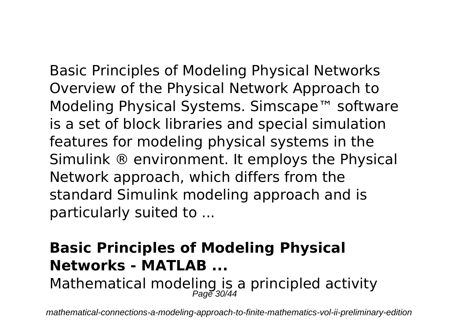Basic Principles of Modeling Physical Networks

Overview of the Physical Network Approach to Modeling Physical Systems. Simscape™ software is a set of block libraries and special simulation features for modeling physical systems in the Simulink ® environment. It employs the Physical Network approach, which differs from the standard Simulink modeling approach and is particularly suited to ...

# **Basic Principles of Modeling Physical Networks - MATLAB ...** Mathematical modeling is a principled activity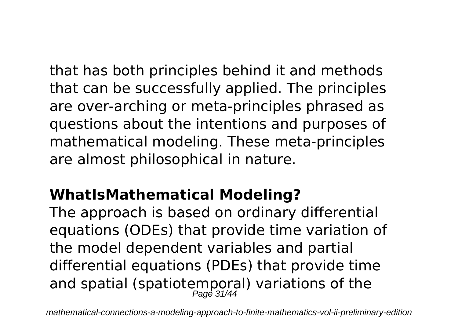that has both principles behind it and methods that can be successfully applied. The principles are over-arching or meta-principles phrased as questions about the intentions and purposes of mathematical modeling. These meta-principles are almost philosophical in nature.

# **WhatIsMathematical Modeling?**

The approach is based on ordinary differential equations (ODEs) that provide time variation of the model dependent variables and partial differential equations (PDEs) that provide time and spatial (spatiotemporal) variations of the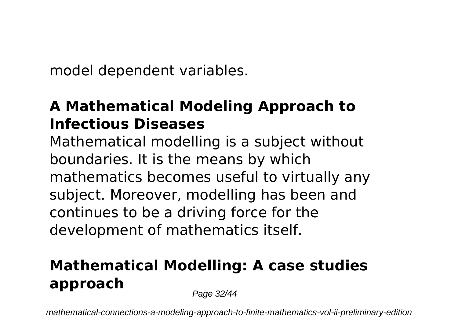model dependent variables.

### **A Mathematical Modeling Approach to Infectious Diseases**

Mathematical modelling is a subject without boundaries. It is the means by which mathematics becomes useful to virtually any subject. Moreover, modelling has been and continues to be a driving force for the development of mathematics itself.

# **Mathematical Modelling: A case studies approach**

Page 32/44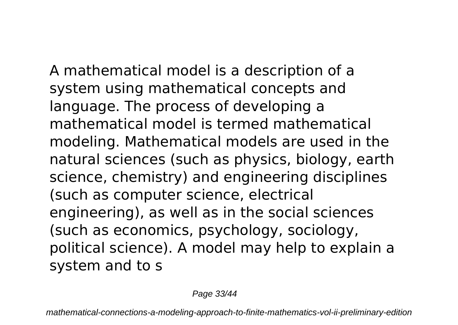A mathematical model is a description of a system using mathematical concepts and language. The process of developing a mathematical model is termed mathematical modeling. Mathematical models are used in the natural sciences (such as physics, biology, earth science, chemistry) and engineering disciplines (such as computer science, electrical engineering), as well as in the social sciences (such as economics, psychology, sociology, political science). A model may help to explain a

system and to s

Page 33/44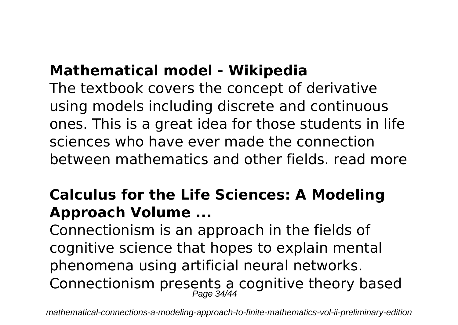#### **Mathematical model - Wikipedia**

The textbook covers the concept of derivative using models including discrete and continuous ones. This is a great idea for those students in life sciences who have ever made the connection between mathematics and other fields. read more

# **Calculus for the Life Sciences: A Modeling Approach Volume ...**

Connectionism is an approach in the fields of cognitive science that hopes to explain mental phenomena using artificial neural networks. Connectionism presents a cognitive theory based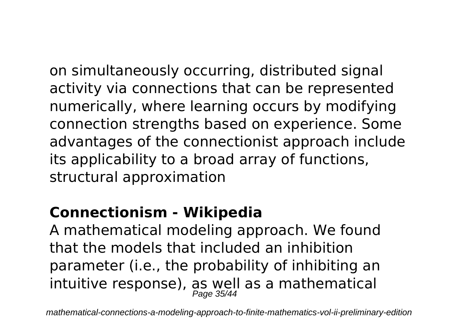on simultaneously occurring, distributed signal activity via connections that can be represented numerically, where learning occurs by modifying connection strengths based on experience. Some advantages of the connectionist approach include its applicability to a broad array of functions, structural approximation

#### **Connectionism - Wikipedia**

A mathematical modeling approach. We found that the models that included an inhibition parameter (i.e., the probability of inhibiting an intuitive response), as well as a mathematical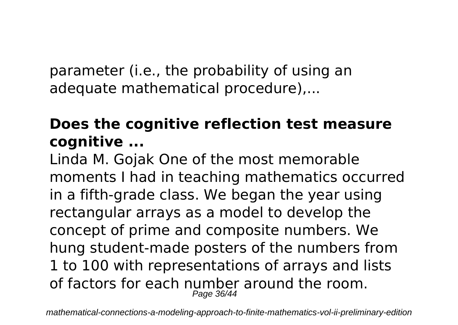parameter (i.e., the probability of using an adequate mathematical procedure),...

## **Does the cognitive reflection test measure cognitive ...**

Linda M. Gojak One of the most memorable moments I had in teaching mathematics occurred in a fifth-grade class. We began the year using rectangular arrays as a model to develop the concept of prime and composite numbers. We hung student-made posters of the numbers from 1 to 100 with representations of arrays and lists of factors for each number around the room. Page 36/44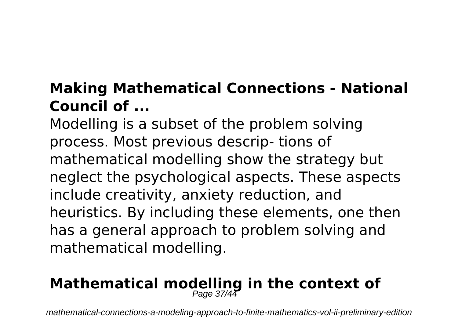# **Making Mathematical Connections - National Council of ...**

Modelling is a subset of the problem solving process. Most previous descrip- tions of mathematical modelling show the strategy but neglect the psychological aspects. These aspects include creativity, anxiety reduction, and heuristics. By including these elements, one then has a general approach to problem solving and mathematical modelling.

# **Mathematical modelling in the context of**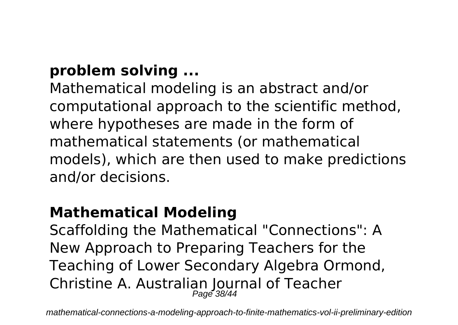## **problem solving ...**

Mathematical modeling is an abstract and/or computational approach to the scientific method, where hypotheses are made in the form of mathematical statements (or mathematical models), which are then used to make predictions and/or decisions.

#### **Mathematical Modeling**

Scaffolding the Mathematical "Connections": A New Approach to Preparing Teachers for the Teaching of Lower Secondary Algebra Ormond, Christine A. Australian Journal of Teacher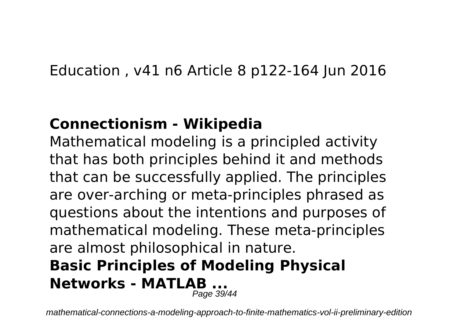#### Education , v41 n6 Article 8 p122-164 Jun 2016

#### **Connectionism - Wikipedia**

Mathematical modeling is a principled activity that has both principles behind it and methods that can be successfully applied. The principles are over-arching or meta-principles phrased as questions about the intentions and purposes of mathematical modeling. These meta-principles are almost philosophical in nature. **Basic Principles of Modeling Physical Networks - MATLAB ...** Page 39/44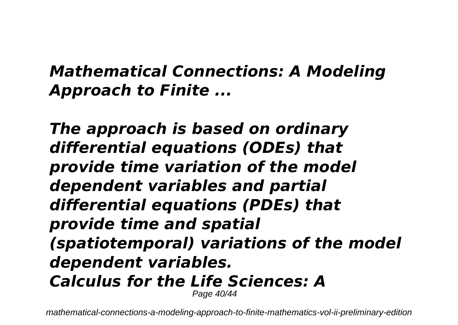# *Mathematical Connections: A Modeling Approach to Finite ...*

*The approach is based on ordinary differential equations (ODEs) that provide time variation of the model dependent variables and partial differential equations (PDEs) that provide time and spatial (spatiotemporal) variations of the model dependent variables. Calculus for the Life Sciences: A* Page 40/44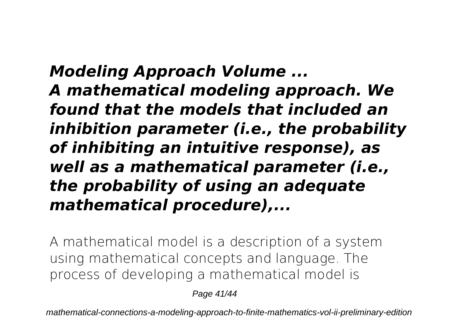*Modeling Approach Volume ... A mathematical modeling approach. We found that the models that included an inhibition parameter (i.e., the probability of inhibiting an intuitive response), as well as a mathematical parameter (i.e., the probability of using an adequate mathematical procedure),...*

A mathematical model is a description of a system using mathematical concepts and language. The process of developing a mathematical model is

Page 41/44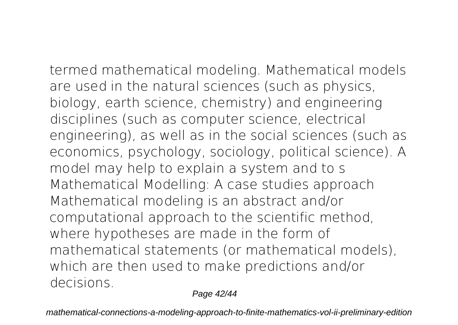termed mathematical modeling. Mathematical models are used in the natural sciences (such as physics, biology, earth science, chemistry) and engineering disciplines (such as computer science, electrical engineering), as well as in the social sciences (such as economics, psychology, sociology, political science). A model may help to explain a system and to s **Mathematical Modelling: A case studies approach** Mathematical modeling is an abstract and/or computational approach to the scientific method, where hypotheses are made in the form of mathematical statements (or mathematical models), which are then used to make predictions and/or decisions.

Page 42/44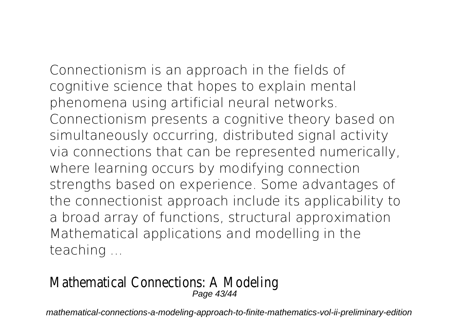Connectionism is an approach in the fields of cognitive science that hopes to explain mental phenomena using artificial neural networks. Connectionism presents a cognitive theory based on simultaneously occurring, distributed signal activity via connections that can be represented numerically, where learning occurs by modifying connection strengths based on experience. Some advantages of the connectionist approach include its applicability to a broad array of functions, structural approximation **Mathematical applications and modelling in the teaching ...**

#### Mathematical Connections: A Modeling Page 43/44